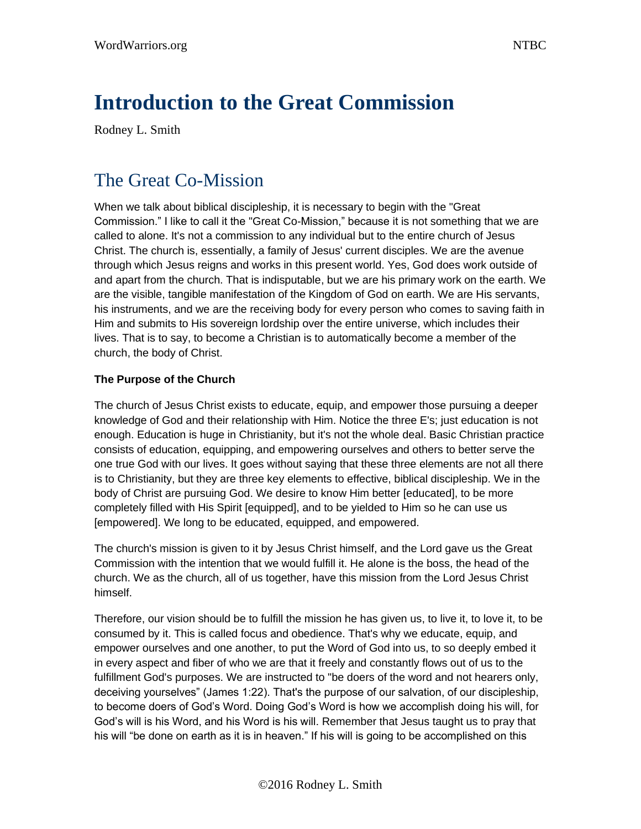# **Introduction to the Great Commission**

Rodney L. Smith

### The Great Co-Mission

When we talk about biblical discipleship, it is necessary to begin with the "Great Commission." I like to call it the "Great Co-Mission," because it is not something that we are called to alone. It's not a commission to any individual but to the entire church of Jesus Christ. The church is, essentially, a family of Jesus' current disciples. We are the avenue through which Jesus reigns and works in this present world. Yes, God does work outside of and apart from the church. That is indisputable, but we are his primary work on the earth. We are the visible, tangible manifestation of the Kingdom of God on earth. We are His servants, his instruments, and we are the receiving body for every person who comes to saving faith in Him and submits to His sovereign lordship over the entire universe, which includes their lives. That is to say, to become a Christian is to automatically become a member of the church, the body of Christ.

### **The Purpose of the Church**

The church of Jesus Christ exists to educate, equip, and empower those pursuing a deeper knowledge of God and their relationship with Him. Notice the three E's; just education is not enough. Education is huge in Christianity, but it's not the whole deal. Basic Christian practice consists of education, equipping, and empowering ourselves and others to better serve the one true God with our lives. It goes without saying that these three elements are not all there is to Christianity, but they are three key elements to effective, biblical discipleship. We in the body of Christ are pursuing God. We desire to know Him better [educated], to be more completely filled with His Spirit [equipped], and to be yielded to Him so he can use us [empowered]. We long to be educated, equipped, and empowered.

The church's mission is given to it by Jesus Christ himself, and the Lord gave us the Great Commission with the intention that we would fulfill it. He alone is the boss, the head of the church. We as the church, all of us together, have this mission from the Lord Jesus Christ himself.

Therefore, our vision should be to fulfill the mission he has given us, to live it, to love it, to be consumed by it. This is called focus and obedience. That's why we educate, equip, and empower ourselves and one another, to put the Word of God into us, to so deeply embed it in every aspect and fiber of who we are that it freely and constantly flows out of us to the fulfillment God's purposes. We are instructed to "be doers of the word and not hearers only, deceiving yourselves" (James 1:22). That's the purpose of our salvation, of our discipleship, to become doers of God's Word. Doing God's Word is how we accomplish doing his will, for God's will is his Word, and his Word is his will. Remember that Jesus taught us to pray that his will "be done on earth as it is in heaven." If his will is going to be accomplished on this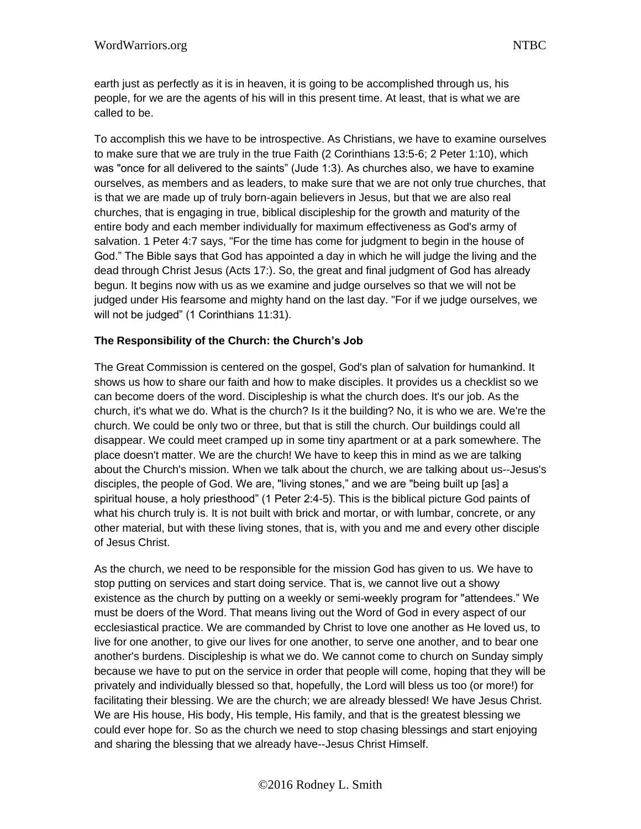earth just as perfectly as it is in heaven, it is going to be accomplished through us, his people, for we are the agents of his will in this present time. At least, that is what we are called to be.

To accomplish this we have to be introspective. As Christians, we have to examine ourselves to make sure that we are truly in the true Faith (2 Corinthians 13:5-6; 2 Peter 1:10), which was "once for all delivered to the saints" (Jude 1:3). As churches also, we have to examine ourselves, as members and as leaders, to make sure that we are not only true churches, that is that we are made up of truly born-again believers in Jesus, but that we are also real churches, that is engaging in true, biblical discipleship for the growth and maturity of the entire body and each member individually for maximum effectiveness as God's army of salvation. 1 Peter 4:7 says, "For the time has come for judgment to begin in the house of God." The Bible says that God has appointed a day in which he will judge the living and the dead through Christ Jesus (Acts 17:). So, the great and final judgment of God has already begun. It begins now with us as we examine and judge ourselves so that we will not be judged under His fearsome and mighty hand on the last day. "For if we judge ourselves, we will not be judged" (1 Corinthians 11:31).

### **The Responsibility of the Church: the Church's Job**

The Great Commission is centered on the gospel, God's plan of salvation for humankind. It shows us how to share our faith and how to make disciples. It provides us a checklist so we can become doers of the word. Discipleship is what the church does. It's our job. As the church, it's what we do. What is the church? Is it the building? No, it is who we are. We're the church. We could be only two or three, but that is still the church. Our buildings could all disappear. We could meet cramped up in some tiny apartment or at a park somewhere. The place doesn't matter. We are the church! We have to keep this in mind as we are talking about the Church's mission. When we talk about the church, we are talking about us--Jesus's disciples, the people of God. We are, "living stones," and we are "being built up [as] a spiritual house, a holy priesthood" (1 Peter 2:4-5). This is the biblical picture God paints of what his church truly is. It is not built with brick and mortar, or with lumbar, concrete, or any other material, but with these living stones, that is, with you and me and every other disciple of Jesus Christ.

As the church, we need to be responsible for the mission God has given to us. We have to stop putting on services and start doing service. That is, we cannot live out a showy existence as the church by putting on a weekly or semi-weekly program for "attendees." We must be doers of the Word. That means living out the Word of God in every aspect of our ecclesiastical practice. We are commanded by Christ to love one another as He loved us, to live for one another, to give our lives for one another, to serve one another, and to bear one another's burdens. Discipleship is what we do. We cannot come to church on Sunday simply because we have to put on the service in order that people will come, hoping that they will be privately and individually blessed so that, hopefully, the Lord will bless us too (or more!) for facilitating their blessing. We are the church; we are already blessed! We have Jesus Christ. We are His house, His body, His temple, His family, and that is the greatest blessing we could ever hope for. So as the church we need to stop chasing blessings and start enjoying and sharing the blessing that we already have--Jesus Christ Himself.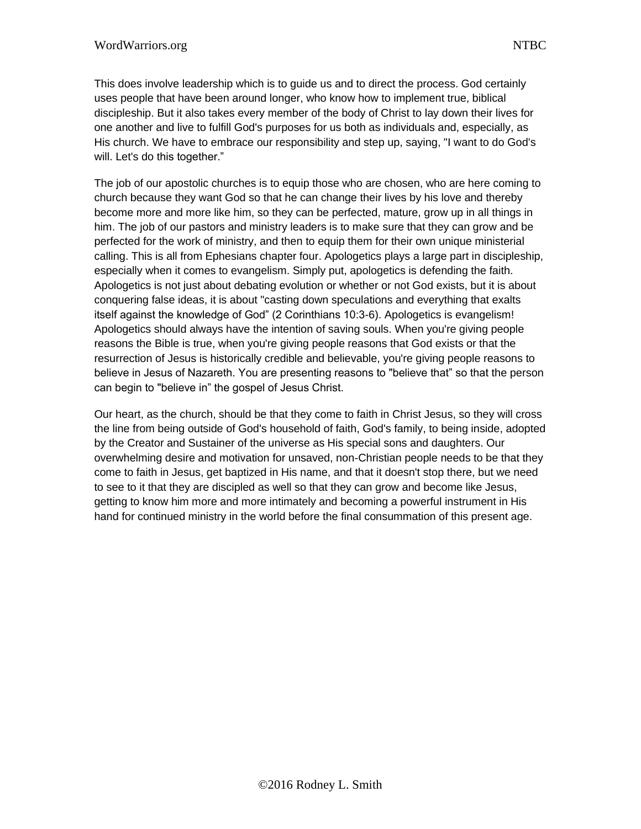This does involve leadership which is to guide us and to direct the process. God certainly uses people that have been around longer, who know how to implement true, biblical discipleship. But it also takes every member of the body of Christ to lay down their lives for one another and live to fulfill God's purposes for us both as individuals and, especially, as His church. We have to embrace our responsibility and step up, saying, "I want to do God's will. Let's do this together."

The job of our apostolic churches is to equip those who are chosen, who are here coming to church because they want God so that he can change their lives by his love and thereby become more and more like him, so they can be perfected, mature, grow up in all things in him. The job of our pastors and ministry leaders is to make sure that they can grow and be perfected for the work of ministry, and then to equip them for their own unique ministerial calling. This is all from Ephesians chapter four. Apologetics plays a large part in discipleship, especially when it comes to evangelism. Simply put, apologetics is defending the faith. Apologetics is not just about debating evolution or whether or not God exists, but it is about conquering false ideas, it is about "casting down speculations and everything that exalts itself against the knowledge of God" (2 Corinthians 10:3-6). Apologetics is evangelism! Apologetics should always have the intention of saving souls. When you're giving people reasons the Bible is true, when you're giving people reasons that God exists or that the resurrection of Jesus is historically credible and believable, you're giving people reasons to believe in Jesus of Nazareth. You are presenting reasons to "believe that" so that the person can begin to "believe in" the gospel of Jesus Christ.

Our heart, as the church, should be that they come to faith in Christ Jesus, so they will cross the line from being outside of God's household of faith, God's family, to being inside, adopted by the Creator and Sustainer of the universe as His special sons and daughters. Our overwhelming desire and motivation for unsaved, non-Christian people needs to be that they come to faith in Jesus, get baptized in His name, and that it doesn't stop there, but we need to see to it that they are discipled as well so that they can grow and become like Jesus, getting to know him more and more intimately and becoming a powerful instrument in His hand for continued ministry in the world before the final consummation of this present age.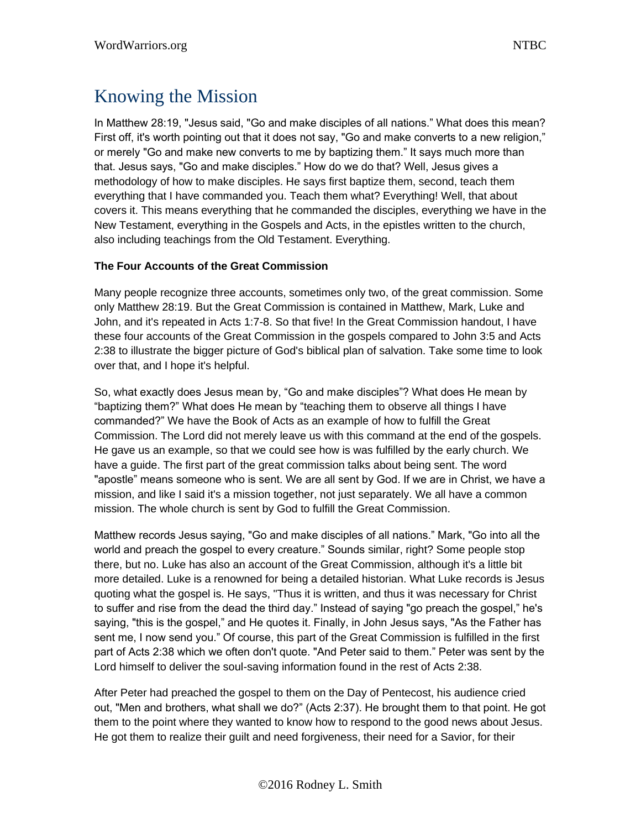### Knowing the Mission

In Matthew 28:19, "Jesus said, "Go and make disciples of all nations." What does this mean? First off, it's worth pointing out that it does not say, "Go and make converts to a new religion," or merely "Go and make new converts to me by baptizing them." It says much more than that. Jesus says, "Go and make disciples." How do we do that? Well, Jesus gives a methodology of how to make disciples. He says first baptize them, second, teach them everything that I have commanded you. Teach them what? Everything! Well, that about covers it. This means everything that he commanded the disciples, everything we have in the New Testament, everything in the Gospels and Acts, in the epistles written to the church, also including teachings from the Old Testament. Everything.

### **The Four Accounts of the Great Commission**

Many people recognize three accounts, sometimes only two, of the great commission. Some only Matthew 28:19. But the Great Commission is contained in Matthew, Mark, Luke and John, and it's repeated in Acts 1:7-8. So that five! In the Great Commission handout, I have these four accounts of the Great Commission in the gospels compared to John 3:5 and Acts 2:38 to illustrate the bigger picture of God's biblical plan of salvation. Take some time to look over that, and I hope it's helpful.

So, what exactly does Jesus mean by, "Go and make disciples"? What does He mean by "baptizing them?" What does He mean by "teaching them to observe all things I have commanded?" We have the Book of Acts as an example of how to fulfill the Great Commission. The Lord did not merely leave us with this command at the end of the gospels. He gave us an example, so that we could see how is was fulfilled by the early church. We have a guide. The first part of the great commission talks about being sent. The word "apostle" means someone who is sent. We are all sent by God. If we are in Christ, we have a mission, and like I said it's a mission together, not just separately. We all have a common mission. The whole church is sent by God to fulfill the Great Commission.

Matthew records Jesus saying, "Go and make disciples of all nations." Mark, "Go into all the world and preach the gospel to every creature." Sounds similar, right? Some people stop there, but no. Luke has also an account of the Great Commission, although it's a little bit more detailed. Luke is a renowned for being a detailed historian. What Luke records is Jesus quoting what the gospel is. He says, "Thus it is written, and thus it was necessary for Christ to suffer and rise from the dead the third day." Instead of saying "go preach the gospel," he's saying, "this is the gospel," and He quotes it. Finally, in John Jesus says, "As the Father has sent me, I now send you." Of course, this part of the Great Commission is fulfilled in the first part of Acts 2:38 which we often don't quote. "And Peter said to them." Peter was sent by the Lord himself to deliver the soul-saving information found in the rest of Acts 2:38.

After Peter had preached the gospel to them on the Day of Pentecost, his audience cried out, "Men and brothers, what shall we do?" (Acts 2:37). He brought them to that point. He got them to the point where they wanted to know how to respond to the good news about Jesus. He got them to realize their guilt and need forgiveness, their need for a Savior, for their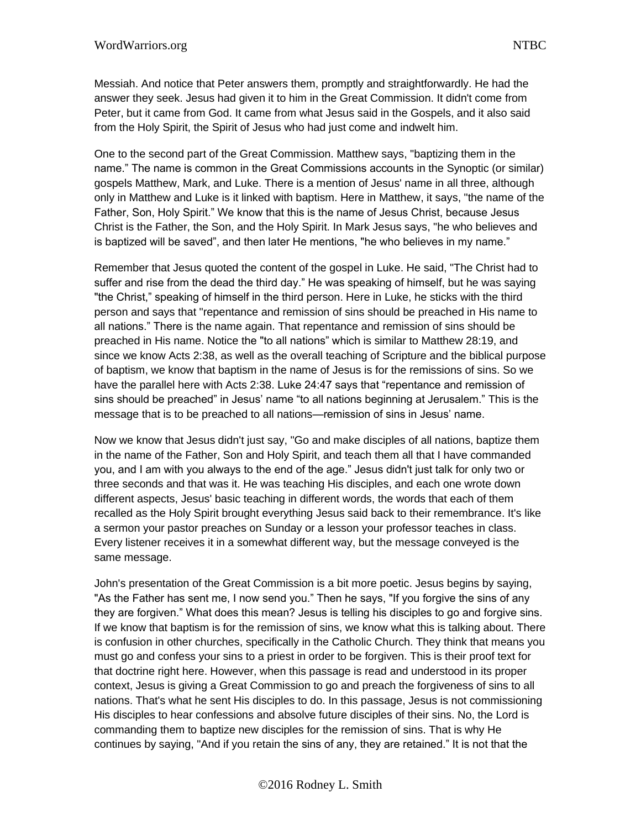Messiah. And notice that Peter answers them, promptly and straightforwardly. He had the answer they seek. Jesus had given it to him in the Great Commission. It didn't come from Peter, but it came from God. It came from what Jesus said in the Gospels, and it also said from the Holy Spirit, the Spirit of Jesus who had just come and indwelt him.

One to the second part of the Great Commission. Matthew says, "baptizing them in the name." The name is common in the Great Commissions accounts in the Synoptic (or similar) gospels Matthew, Mark, and Luke. There is a mention of Jesus' name in all three, although only in Matthew and Luke is it linked with baptism. Here in Matthew, it says, "the name of the Father, Son, Holy Spirit." We know that this is the name of Jesus Christ, because Jesus Christ is the Father, the Son, and the Holy Spirit. In Mark Jesus says, "he who believes and is baptized will be saved", and then later He mentions, "he who believes in my name."

Remember that Jesus quoted the content of the gospel in Luke. He said, "The Christ had to suffer and rise from the dead the third day." He was speaking of himself, but he was saying "the Christ," speaking of himself in the third person. Here in Luke, he sticks with the third person and says that "repentance and remission of sins should be preached in His name to all nations." There is the name again. That repentance and remission of sins should be preached in His name. Notice the "to all nations" which is similar to Matthew 28:19, and since we know Acts 2:38, as well as the overall teaching of Scripture and the biblical purpose of baptism, we know that baptism in the name of Jesus is for the remissions of sins. So we have the parallel here with Acts 2:38. Luke 24:47 says that "repentance and remission of sins should be preached" in Jesus' name "to all nations beginning at Jerusalem." This is the message that is to be preached to all nations—remission of sins in Jesus' name.

Now we know that Jesus didn't just say, "Go and make disciples of all nations, baptize them in the name of the Father, Son and Holy Spirit, and teach them all that I have commanded you, and I am with you always to the end of the age." Jesus didn't just talk for only two or three seconds and that was it. He was teaching His disciples, and each one wrote down different aspects, Jesus' basic teaching in different words, the words that each of them recalled as the Holy Spirit brought everything Jesus said back to their remembrance. It's like a sermon your pastor preaches on Sunday or a lesson your professor teaches in class. Every listener receives it in a somewhat different way, but the message conveyed is the same message.

John's presentation of the Great Commission is a bit more poetic. Jesus begins by saying, "As the Father has sent me, I now send you." Then he says, "If you forgive the sins of any they are forgiven." What does this mean? Jesus is telling his disciples to go and forgive sins. If we know that baptism is for the remission of sins, we know what this is talking about. There is confusion in other churches, specifically in the Catholic Church. They think that means you must go and confess your sins to a priest in order to be forgiven. This is their proof text for that doctrine right here. However, when this passage is read and understood in its proper context, Jesus is giving a Great Commission to go and preach the forgiveness of sins to all nations. That's what he sent His disciples to do. In this passage, Jesus is not commissioning His disciples to hear confessions and absolve future disciples of their sins. No, the Lord is commanding them to baptize new disciples for the remission of sins. That is why He continues by saying, "And if you retain the sins of any, they are retained." It is not that the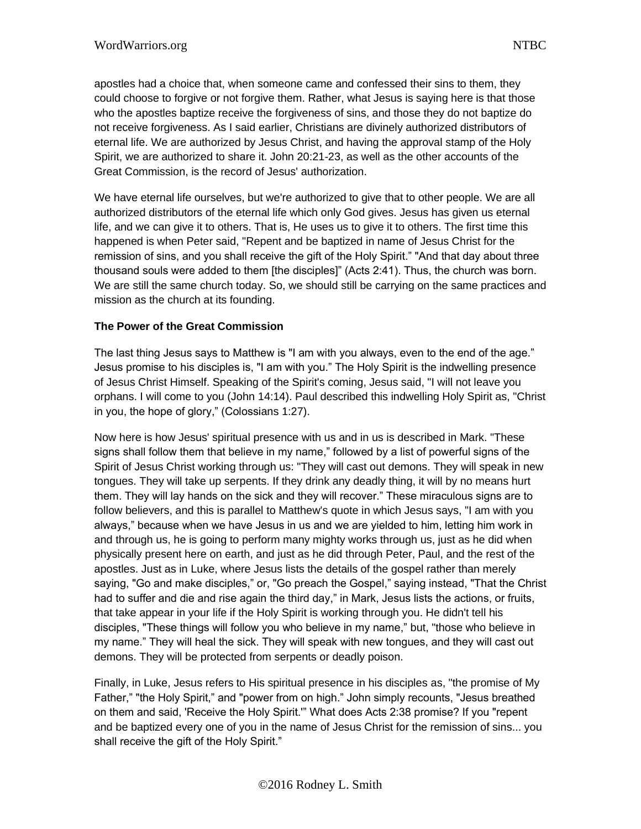apostles had a choice that, when someone came and confessed their sins to them, they could choose to forgive or not forgive them. Rather, what Jesus is saying here is that those who the apostles baptize receive the forgiveness of sins, and those they do not baptize do not receive forgiveness. As I said earlier, Christians are divinely authorized distributors of eternal life. We are authorized by Jesus Christ, and having the approval stamp of the Holy Spirit, we are authorized to share it. John 20:21-23, as well as the other accounts of the Great Commission, is the record of Jesus' authorization.

We have eternal life ourselves, but we're authorized to give that to other people. We are all authorized distributors of the eternal life which only God gives. Jesus has given us eternal life, and we can give it to others. That is, He uses us to give it to others. The first time this happened is when Peter said, "Repent and be baptized in name of Jesus Christ for the remission of sins, and you shall receive the gift of the Holy Spirit." "And that day about three thousand souls were added to them [the disciples]" (Acts 2:41). Thus, the church was born. We are still the same church today. So, we should still be carrying on the same practices and mission as the church at its founding.

### **The Power of the Great Commission**

The last thing Jesus says to Matthew is "I am with you always, even to the end of the age." Jesus promise to his disciples is, "I am with you." The Holy Spirit is the indwelling presence of Jesus Christ Himself. Speaking of the Spirit's coming, Jesus said, "I will not leave you orphans. I will come to you (John 14:14). Paul described this indwelling Holy Spirit as, "Christ in you, the hope of glory," (Colossians 1:27).

Now here is how Jesus' spiritual presence with us and in us is described in Mark. "These signs shall follow them that believe in my name," followed by a list of powerful signs of the Spirit of Jesus Christ working through us: "They will cast out demons. They will speak in new tongues. They will take up serpents. If they drink any deadly thing, it will by no means hurt them. They will lay hands on the sick and they will recover." These miraculous signs are to follow believers, and this is parallel to Matthew's quote in which Jesus says, "I am with you always," because when we have Jesus in us and we are yielded to him, letting him work in and through us, he is going to perform many mighty works through us, just as he did when physically present here on earth, and just as he did through Peter, Paul, and the rest of the apostles. Just as in Luke, where Jesus lists the details of the gospel rather than merely saying, "Go and make disciples," or, "Go preach the Gospel," saying instead, "That the Christ had to suffer and die and rise again the third day," in Mark, Jesus lists the actions, or fruits, that take appear in your life if the Holy Spirit is working through you. He didn't tell his disciples, "These things will follow you who believe in my name," but, "those who believe in my name." They will heal the sick. They will speak with new tongues, and they will cast out demons. They will be protected from serpents or deadly poison.

Finally, in Luke, Jesus refers to His spiritual presence in his disciples as, "the promise of My Father," "the Holy Spirit," and "power from on high." John simply recounts, "Jesus breathed on them and said, 'Receive the Holy Spirit.'" What does Acts 2:38 promise? If you "repent and be baptized every one of you in the name of Jesus Christ for the remission of sins... you shall receive the gift of the Holy Spirit."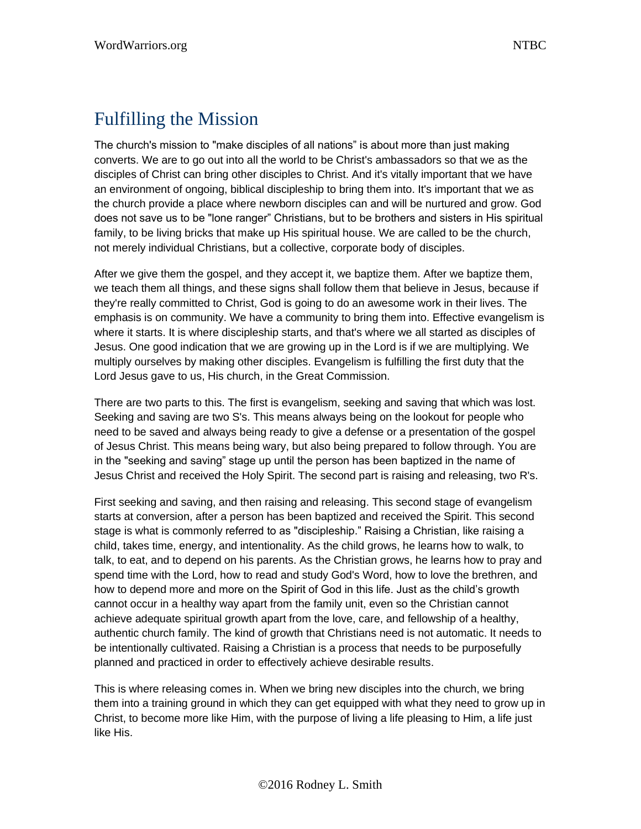## Fulfilling the Mission

The church's mission to "make disciples of all nations" is about more than just making converts. We are to go out into all the world to be Christ's ambassadors so that we as the disciples of Christ can bring other disciples to Christ. And it's vitally important that we have an environment of ongoing, biblical discipleship to bring them into. It's important that we as the church provide a place where newborn disciples can and will be nurtured and grow. God does not save us to be "lone ranger" Christians, but to be brothers and sisters in His spiritual family, to be living bricks that make up His spiritual house. We are called to be the church, not merely individual Christians, but a collective, corporate body of disciples.

After we give them the gospel, and they accept it, we baptize them. After we baptize them, we teach them all things, and these signs shall follow them that believe in Jesus, because if they're really committed to Christ, God is going to do an awesome work in their lives. The emphasis is on community. We have a community to bring them into. Effective evangelism is where it starts. It is where discipleship starts, and that's where we all started as disciples of Jesus. One good indication that we are growing up in the Lord is if we are multiplying. We multiply ourselves by making other disciples. Evangelism is fulfilling the first duty that the Lord Jesus gave to us, His church, in the Great Commission.

There are two parts to this. The first is evangelism, seeking and saving that which was lost. Seeking and saving are two S's. This means always being on the lookout for people who need to be saved and always being ready to give a defense or a presentation of the gospel of Jesus Christ. This means being wary, but also being prepared to follow through. You are in the "seeking and saving" stage up until the person has been baptized in the name of Jesus Christ and received the Holy Spirit. The second part is raising and releasing, two R's.

First seeking and saving, and then raising and releasing. This second stage of evangelism starts at conversion, after a person has been baptized and received the Spirit. This second stage is what is commonly referred to as "discipleship." Raising a Christian, like raising a child, takes time, energy, and intentionality. As the child grows, he learns how to walk, to talk, to eat, and to depend on his parents. As the Christian grows, he learns how to pray and spend time with the Lord, how to read and study God's Word, how to love the brethren, and how to depend more and more on the Spirit of God in this life. Just as the child's growth cannot occur in a healthy way apart from the family unit, even so the Christian cannot achieve adequate spiritual growth apart from the love, care, and fellowship of a healthy, authentic church family. The kind of growth that Christians need is not automatic. It needs to be intentionally cultivated. Raising a Christian is a process that needs to be purposefully planned and practiced in order to effectively achieve desirable results.

This is where releasing comes in. When we bring new disciples into the church, we bring them into a training ground in which they can get equipped with what they need to grow up in Christ, to become more like Him, with the purpose of living a life pleasing to Him, a life just like His.